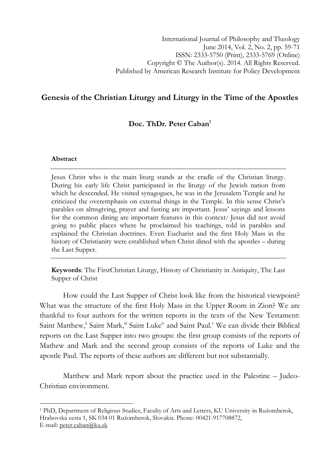# Genesis of the Christian Liturgy and Liturgy in the Time of the Apostles

## Doc. ThDr. Peter Caban<sup>1</sup>

### Abstract

l

Jesus Christ who is the main liturg stands at the cradle of the Christian liturgy. During his early life Christ participated in the liturgy of the Jewish nation from which he descended. He visited synagogues, he was in the Jerusalem Temple and he criticized the overemphasis on external things in the Temple. In this sense Christ's parables on almsgiving, prayer and fasting are important. Jesus' sayings and lessons for the common dining are important features in this context.<sup>1</sup> Jesus did not avoid going to public places where he proclaimed his teachings, told in parables and explained the Christian doctrines. Even Eucharist and the first Holy Mass in the history of Christianity were established when Christ dined with the apostles – during the Last Supper.

Keywords: The FirstChristian Liturgy, History of Christianity in Antiquity, The Last Supper of Christ

How could the Last Supper of Christ look like from the historical viewpoint? What was the structure of the first Holy Mass in the Upper Room in Zion? We are thankful to four authors for the written reports in the texts of the New Testament: Saint Matthew,<sup>ii</sup> Saint Mark,<sup>iii</sup> Saint Luke<sup>iv</sup> and Saint Paul.<sup>v</sup> We can divide their Biblical reports on the Last Supper into two groups: the first group consists of the reports of Mathew and Mark and the second group consists of the reports of Luke and the apostle Paul. The reports of these authors are different but not substantially.

Matthew and Mark report about the practice used in the Palestine – Judeo-Christian environment.

<sup>&</sup>lt;sup>1</sup> PhD, Department of Religious Studies, Faculty of Arts and Letters, KU University in Ružomberok, Hrabovská cesta 1, SK 034 01 Ružomberok, Slovakia. Phone: 00421-917708872, E-mail: peter.caban@ku.sk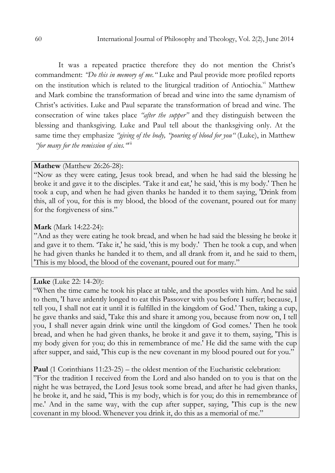It was a repeated practice therefore they do not mention the Christ's commandment: "Do this in memory of me." Luke and Paul provide more profiled reports on the institution which is related to the liturgical tradition of Antiochia.<sup>vi</sup> Matthew and Mark combine the transformation of bread and wine into the same dynamism of Christ's activities. Luke and Paul separate the transformation of bread and wine. The consecration of wine takes place "after the supper" and they distinguish between the blessing and thanksgiving. Luke and Paul tell about the thanksgiving only. At the same time they emphasize "giving of the body, "pouring of blood for you" (Luke), in Matthew "for many for the remission of sins.  $\mathbf{w}$ <sup>ii</sup>

#### Mathew (Matthew 26:26-28):

"Now as they were eating, Jesus took bread, and when he had said the blessing he broke it and gave it to the disciples. 'Take it and eat,' he said, 'this is my body.' Then he took a cup, and when he had given thanks he handed it to them saying, 'Drink from this, all of you, for this is my blood, the blood of the covenant, poured out for many for the forgiveness of sins."

### Mark (Mark 14:22-24):

"And as they were eating he took bread, and when he had said the blessing he broke it and gave it to them. 'Take it,' he said, 'this is my body.' Then he took a cup, and when he had given thanks he handed it to them, and all drank from it, and he said to them, 'This is my blood, the blood of the covenant, poured out for many."

## Luke (Luke 22: 14-20):

"When the time came he took his place at table, and the apostles with him. And he said to them, 'I have ardently longed to eat this Passover with you before I suffer; because, I tell you, I shall not eat it until it is fulfilled in the kingdom of God.' Then, taking a cup, he gave thanks and said, 'Take this and share it among you, because from now on, I tell you, I shall never again drink wine until the kingdom of God comes.' Then he took bread, and when he had given thanks, he broke it and gave it to them, saying, 'This is my body given for you; do this in remembrance of me.' He did the same with the cup after supper, and said, 'This cup is the new covenant in my blood poured out for you."

Paul (1 Corinthians 11:23-25) – the oldest mention of the Eucharistic celebration: "For the tradition I received from the Lord and also handed on to you is that on the night he was betrayed, the Lord Jesus took some bread, and after he had given thanks, he broke it, and he said, 'This is my body, which is for you; do this in remembrance of

me.' And in the same way, with the cup after supper, saying, 'This cup is the new covenant in my blood. Whenever you drink it, do this as a memorial of me."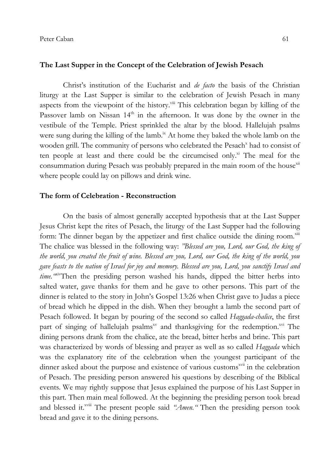#### The Last Supper in the Concept of the Celebration of Jewish Pesach

Christ's institution of the Eucharist and *de facto* the basis of the Christian liturgy at the Last Supper is similar to the celebration of Jewish Pesach in many aspects from the viewpoint of the history.<sup>viii</sup> This celebration began by killing of the Passover lamb on Nissan 14<sup>th</sup> in the afternoon. It was done by the owner in the vestibule of the Temple. Priest sprinkled the altar by the blood. Hallelujah psalms were sung during the killing of the lamb.<sup>ix</sup> At home they baked the whole lamb on the wooden grill. The community of persons who celebrated the Pesach<sup>x</sup> had to consist of ten people at least and there could be the circumcised only.<sup>xi</sup> The meal for the consummation during Pesach was probably prepared in the main room of the house $x^{xx}$ where people could lay on pillows and drink wine.

#### The form of Celebration - Reconstruction

On the basis of almost generally accepted hypothesis that at the Last Supper Jesus Christ kept the rites of Pesach, the liturgy of the Last Supper had the following form: The dinner began by the appetizer and first chalice outside the dining room. $x^{\text{min}}$ The chalice was blessed in the following way: "Blessed are you, Lord, our God, the king of the world, you created the fruit of wine. Blessed are you, Lord, our God, the king of the world, you gave feasts to the nation of Israel for joy and memory. Blessed are you, Lord, you sanctify Israel and time. "Kiv'Then the presiding person washed his hands, dipped the bitter herbs into salted water, gave thanks for them and he gave to other persons. This part of the dinner is related to the story in John's Gospel 13:26 when Christ gave to Judas a piece of bread which he dipped in the dish. When they brought a lamb the second part of Pesach followed. It began by pouring of the second so called Haggada-chalice, the first part of singing of hallelujah psalms<sup>xv</sup> and thanksgiving for the redemption.<sup>xv</sup> The dining persons drank from the chalice, ate the bread, bitter herbs and brine. This part was characterized by words of blessing and prayer as well as so called Haggada which was the explanatory rite of the celebration when the youngest participant of the dinner asked about the purpose and existence of various customs<sup>xvii</sup> in the celebration of Pesach. The presiding person answered his questions by describing of the Biblical events. We may rightly suppose that Jesus explained the purpose of his Last Supper in this part. Then main meal followed. At the beginning the presiding person took bread and blessed it.<sup>xviii</sup> The present people said "Amen." Then the presiding person took bread and gave it to the dining persons.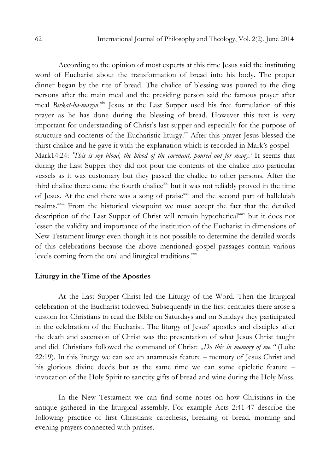According to the opinion of most experts at this time Jesus said the instituting word of Eucharist about the transformation of bread into his body. The proper dinner began by the rite of bread. The chalice of blessing was poured to the ding persons after the main meal and the presiding person said the famous prayer after meal Birkat-ha-mazon.<sup>xix</sup> Jesus at the Last Supper used his free formulation of this prayer as he has done during the blessing of bread. However this text is very important for understanding of Christ's last supper and especially for the purpose of structure and contents of the Eucharistic liturgy.<sup>xx</sup> After this prayer Jesus blessed the thirst chalice and he gave it with the explanation which is recorded in Mark's gospel – Mark14:24: 'This is my blood, the blood of the covenant, poured out for many.' It seems that during the Last Supper they did not pour the contents of the chalice into particular vessels as it was customary but they passed the chalice to other persons. After the third chalice there came the fourth chalice<sup>xxi</sup> but it was not reliably proved in the time of Jesus. At the end there was a song of praise<sup>xxii</sup> and the second part of hallelujah psalms.<sup>xxiii</sup> From the historical viewpoint we must accept the fact that the detailed description of the Last Supper of Christ will remain hypothetical<sup>xxiv</sup> but it does not lessen the validity and importance of the institution of the Eucharist in dimensions of New Testament liturgy even though it is not possible to determine the detailed words of this celebrations because the above mentioned gospel passages contain various levels coming from the oral and liturgical traditions.<sup>xxv</sup>

### Liturgy in the Time of the Apostles

At the Last Supper Christ led the Liturgy of the Word. Then the liturgical celebration of the Eucharist followed. Subsequently in the first centuries there arose a custom for Christians to read the Bible on Saturdays and on Sundays they participated in the celebration of the Eucharist. The liturgy of Jesus' apostles and disciples after the death and ascension of Christ was the presentation of what Jesus Christ taught and did. Christians followed the command of Christ: "Do this in memory of me." (Luke 22:19). In this liturgy we can see an anamnesis feature – memory of Jesus Christ and his glorious divine deeds but as the same time we can some epicletic feature – invocation of the Holy Spirit to sanctity gifts of bread and wine during the Holy Mass.

In the New Testament we can find some notes on how Christians in the antique gathered in the liturgical assembly. For example Acts 2:41-47 describe the following practice of first Christians: catechesis, breaking of bread, morning and evening prayers connected with praises.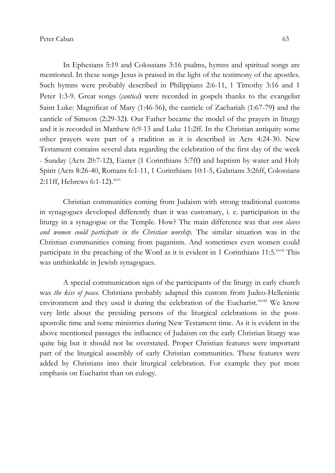Peter Caban 63

In Ephesians 5:19 and Colossians 3:16 psalms, hymns and spiritual songs are mentioned. In these songs Jesus is praised in the light of the testimony of the apostles. Such hymns were probably described in Philippians 2:6-11, 1 Timothy 3:16 and 1 Peter 1:3-9. Great songs (cantica) were recorded in gospels thanks to the evangelist Saint Luke: Magnificat of Mary (1:46-56), the canticle of Zachariah (1:67-79) and the canticle of Simeon (2:29-32). Our Father became the model of the prayers in liturgy and it is recorded in Matthew 6:9-13 and Luke 11:2ff. In the Christian antiquity some other prayers were part of a tradition as it is described in Acts 4:24-30. New Testament contains several data regarding the celebration of the first day of the week - Sunday (Acts 20:7-12), Easter (1 Corinthians 5:7ff) and baptism by water and Holy Spirit (Acts 8:26-40, Romans 6:1-11, 1 Corinthians 10:1-5, Galatians 3:26ff, Colossians 2:11ff, Hebrews 6:1-12). xxvi

Christian communities coming from Judaism with strong traditional customs in synagogues developed differently than it was customary, i. e. participation in the liturgy in a synagogue or the Temple. How? The main difference was that *even slaves* and women could participate in the Christian worship. The similar situation was in the Christian communities coming from paganism. And sometimes even women could participate in the preaching of the Word as it is evident in 1 Corinthians  $11:5.^{xxvii}$  This was unthinkable in Jewish synagogues.

A special communication sign of the participants of the liturgy in early church was the kiss of peace. Christians probably adapted this custom from Judeo-Hellenistic environment and they used it during the celebration of the Eucharist.<sup>xxviii</sup> We know very little about the presiding persons of the liturgical celebrations in the postapostolic time and some ministries during New Testament time. As it is evident in the above mentioned passages the influence of Judaism on the early Christian liturgy was quite big but it should not be overstated. Proper Christian features were important part of the liturgical assembly of early Christian communities. These features were added by Christians into their liturgical celebration. For example they put more emphasis on Eucharist than on eulogy.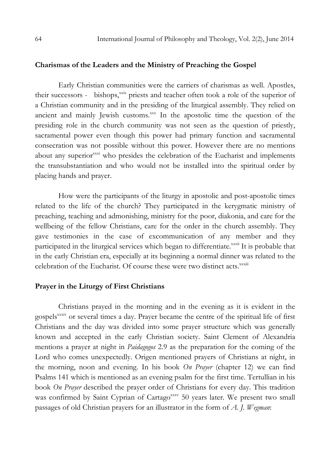#### Charismas of the Leaders and the Ministry of Preaching the Gospel

Early Christian communities were the carriers of charismas as well. Apostles, their successors - bishops, xxix priests and teacher often took a role of the superior of a Christian community and in the presiding of the liturgical assembly. They relied on ancient and mainly Jewish customs.xxx In the apostolic time the question of the presiding role in the church community was not seen as the question of priestly, sacramental power even though this power had primary function and sacramental consecration was not possible without this power. However there are no mentions about any superior<sup>xxxi</sup> who presides the celebration of the Eucharist and implements the transubstantiation and who would not be installed into the spiritual order by placing hands and prayer.

How were the participants of the liturgy in apostolic and post-apostolic times related to the life of the church? They participated in the kerygmatic ministry of preaching, teaching and admonishing, ministry for the poor, diakonia, and care for the wellbeing of the fellow Christians, care for the order in the church assembly. They gave testimonies in the case of excommunication of any member and they participated in the liturgical services which began to differentiate.<sup>xxxii</sup> It is probable that in the early Christian era, especially at its beginning a normal dinner was related to the celebration of the Eucharist. Of course these were two distinct acts.<sup>xxxiii</sup>

#### Prayer in the Liturgy of First Christians

Christians prayed in the morning and in the evening as it is evident in the gospels<sup>xxxiv</sup> or several times a day. Prayer became the centre of the spiritual life of first Christians and the day was divided into some prayer structure which was generally known and accepted in the early Christian society. Saint Clement of Alexandria mentions a prayer at night in Paidagogos 2.9 as the preparation for the coming of the Lord who comes unexpectedly. Origen mentioned prayers of Christians at night, in the morning, noon and evening. In his book  $On$  Prayer (chapter 12) we can find Psalms 141 which is mentioned as an evening psalm for the first time. Tertullian in his book On Prayer described the prayer order of Christians for every day. This tradition was confirmed by Saint Cyprian of Cartagoxxxv 50 years later. We present two small passages of old Christian prayers for an illustrator in the form of  $A$ . J. Wegman: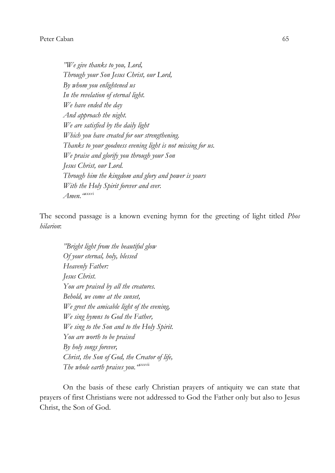#### Peter Caban 65

"We give thanks to you, Lord, Through your Son Jesus Christ, our Lord, By whom you enlightened us In the revelation of eternal light. We have ended the day And approach the night. We are satisfied by the daily light Which you have created for our strengthening. Thanks to your goodness evening light is not missing for us. We praise and glorify you through your Son Jesus Christ, our Lord. Through him the kingdom and glory and power is yours With the Holy Spirit forever and ever. Amen. "<sup>xxxvi</sup>

The second passage is a known evening hymn for the greeting of light titled Phos hilarion:

"Bright light from the beautiful glow Of your eternal, holy, blessed Heavenly Father: Jesus Christ. You are praised by all the creatures. Behold, we come at the sunset, We greet the amicable light of the evening, We sing hymns to God the Father, We sing to the Son and to the Holy Spirit. You are worth to be praised By holy songs forever, Christ, the Son of God, the Creator of life, The whole earth praises you. "xxxviii

On the basis of these early Christian prayers of antiquity we can state that prayers of first Christians were not addressed to God the Father only but also to Jesus Christ, the Son of God.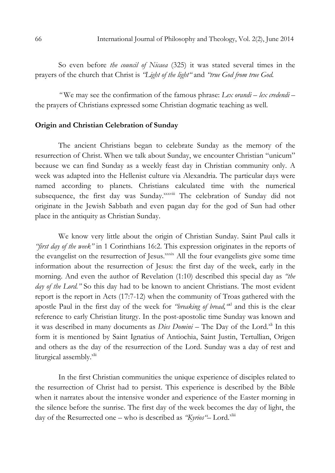So even before *the council of Nicaea* (325) it was stated several times in the prayers of the church that Christ is "Light of the light" and "true God from true God.

"We may see the confirmation of the famous phrase:  $Lex$  orandi – lex credendi – the prayers of Christians expressed some Christian dogmatic teaching as well.

### Origin and Christian Celebration of Sunday

The ancient Christians began to celebrate Sunday as the memory of the resurrection of Christ. When we talk about Sunday, we encounter Christian "unicum" because we can find Sunday as a weekly feast day in Christian community only. A week was adapted into the Hellenist culture via Alexandria. The particular days were named according to planets. Christians calculated time with the numerical subsequence, the first day was Sunday.xxxviii The celebration of Sunday did not originate in the Jewish Sabbath and even pagan day for the god of Sun had other place in the antiquity as Christian Sunday.

We know very little about the origin of Christian Sunday. Saint Paul calls it "first day of the week" in 1 Corinthians 16:2. This expression originates in the reports of the evangelist on the resurrection of Jesus.<sup>xxxix</sup> All the four evangelists give some time information about the resurrection of Jesus: the first day of the week, early in the morning. And even the author of Revelation (1:10) described this special day as "the day of the Lord." So this day had to be known to ancient Christians. The most evident report is the report in Acts (17:7-12) when the community of Troas gathered with the apostle Paul in the first day of the week for "breaking of bread," and this is the clear reference to early Christian liturgy. In the post-apostolic time Sunday was known and it was described in many documents as *Dies Domini* – The Day of the Lord.<sup>xli</sup> In this form it is mentioned by Saint Ignatius of Antiochia, Saint Justin, Tertullian, Origen and others as the day of the resurrection of the Lord. Sunday was a day of rest and liturgical assembly.<sup>xlii</sup>

In the first Christian communities the unique experience of disciples related to the resurrection of Christ had to persist. This experience is described by the Bible when it narrates about the intensive wonder and experience of the Easter morning in the silence before the sunrise. The first day of the week becomes the day of light, the day of the Resurrected one – who is described as "Kyrios"- Lord.<sup>xliii</sup>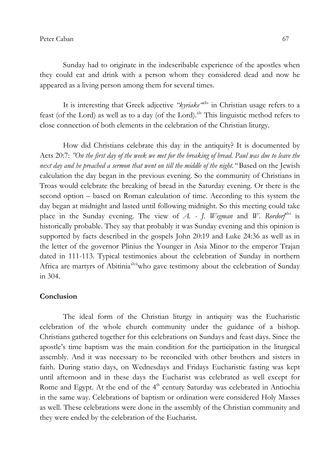Sunday had to originate in the indescribable experience of the apostles when they could eat and drink with a person whom they considered dead and now he appeared as a living person among them for several times.

It is interesting that Greek adjective "kyriake" in Christian usage refers to a feast (of the Lord) as well as to a day (of the Lord).<sup>xlv</sup> This linguistic method refers to close connection of both elements in the celebration of the Christian liturgy.

How did Christians celebrate this day in the antiquity? It is documented by Acts 20:7: "On the first day of the week we met for the breaking of bread. Paul was due to leave the next day and he preached a sermon that went on till the middle of the night. "Based on the Jewish calculation the day began in the previous evening. So the community of Christians in Troas would celebrate the breaking of bread in the Saturday evening. Or there is the second option – based on Roman calculation of time. According to this system the day began at midnight and lasted until following midnight. So this meeting could take place in the Sunday evening. The view of A. - J. Wegman and W. Rordorf<sup>slyi</sup> is historically probable. They say that probably it was Sunday evening and this opinion is supported by facts described in the gospels John 20:19 and Luke 24:36 as well as in the letter of the governor Plinius the Younger in Asia Minor to the emperor Trajan dated in 111-113. Typical testimonies about the celebration of Sunday in northern Africa are martyrs of Abitinia<sup>xlvii</sup>who gave testimony about the celebration of Sunday in 304.

#### **Conclusion**

The ideal form of the Christian liturgy in antiquity was the Eucharistic celebration of the whole church community under the guidance of a bishop. Christians gathered together for this celebrations on Sundays and feast days. Since the apostle's time baptism was the main condition for the participation in the liturgical assembly. And it was necessary to be reconciled with other brothers and sisters in faith. During statio days, on Wednesdays and Fridays Eucharistic fasting was kept until afternoon and in these days the Eucharist was celebrated as well except for Rome and Egypt. At the end of the  $4<sup>th</sup>$  century Saturday was celebrated in Antiochia in the same way. Celebrations of baptism or ordination were considered Holy Masses as well. These celebrations were done in the assembly of the Christian community and they were ended by the celebration of the Eucharist.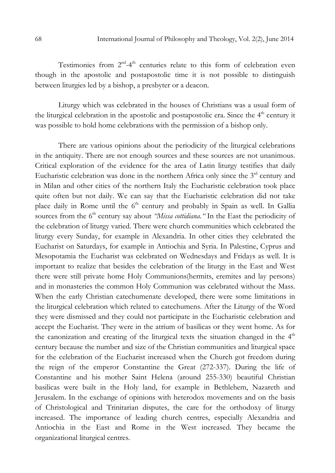Testimonies from 2<sup>nd</sup>-4<sup>th</sup> centuries relate to this form of celebration even though in the apostolic and postapostolic time it is not possible to distinguish between liturgies led by a bishop, a presbyter or a deacon.

Liturgy which was celebrated in the houses of Christians was a usual form of the liturgical celebration in the apostolic and postapostolic era. Since the  $4<sup>th</sup>$  century it was possible to hold home celebrations with the permission of a bishop only.

There are various opinions about the periodicity of the liturgical celebrations in the antiquity. There are not enough sources and these sources are not unanimous. Critical exploration of the evidence for the area of Latin liturgy testifies that daily Eucharistic celebration was done in the northern Africa only since the  $3<sup>rd</sup>$  century and in Milan and other cities of the northern Italy the Eucharistic celebration took place quite often but not daily. We can say that the Eucharistic celebration did not take place daily in Rome until the  $6<sup>th</sup>$  century and probably in Spain as well. In Gallia sources from the  $6<sup>th</sup>$  century say about *"Missa cottidiana*." In the East the periodicity of the celebration of liturgy varied. There were church communities which celebrated the liturgy every Sunday, for example in Alexandria. In other cities they celebrated the Eucharist on Saturdays, for example in Antiochia and Syria. In Palestine, Cyprus and Mesopotamia the Eucharist was celebrated on Wednesdays and Fridays as well. It is important to realize that besides the celebration of the liturgy in the East and West there were still private home Holy Communions(hermits, eremites and lay persons) and in monasteries the common Holy Communion was celebrated without the Mass. When the early Christian catechumenate developed, there were some limitations in the liturgical celebration which related to catechumens. After the Liturgy of the Word they were dismissed and they could not participate in the Eucharistic celebration and accept the Eucharist. They were in the atrium of basilicas or they went home. As for the canonization and creating of the liturgical texts the situation changed in the  $4<sup>th</sup>$ century because the number and size of the Christian communities and liturgical space for the celebration of the Eucharist increased when the Church got freedom during the reign of the emperor Constantine the Great (272-337). During the life of Constantine and his mother Saint Helena (around 255-330) beautiful Christian basilicas were built in the Holy land, for example in Bethlehem, Nazareth and Jerusalem. In the exchange of opinions with heterodox movements and on the basis of Christological and Trinitarian disputes, the care for the orthodoxy of liturgy increased. The importance of leading church centres, especially Alexandria and Antiochia in the East and Rome in the West increased. They became the organizational liturgical centres.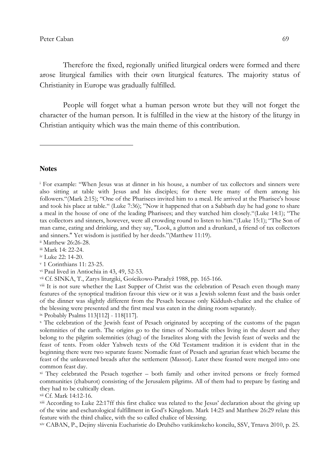#### Peter Caban 69

Therefore the fixed, regionally unified liturgical orders were formed and there arose liturgical families with their own liturgical features. The majority status of Christianity in Europe was gradually fulfilled.

People will forget what a human person wrote but they will not forget the character of the human person. It is fulfilled in the view at the history of the liturgy in Christian antiquity which was the main theme of this contribution.

#### **Notes**

l

ii Matthew 26:26-28.

iii Mark 14: 22-24.

iv Luke 22: 14-20.

v 1 Corinthians 11: 23-25.

vi Paul lived in Antiochia in 43, 49, 52-53.

vii Cf. SINKA, T., Zarys liturgiki, Gościkowo-Paradyž 1988, pp. 165-166.

<sup>viii</sup> It is not sure whether the Last Supper of Christ was the celebration of Pesach even though many features of the synoptical tradition favour this view or it was a Jewish solemn feast and the basis order of the dinner was slightly different from the Pesach because only Kiddush-chalice and the chalice of the blessing were presented and the first meal was eaten in the dining room separately.

ix Probably Psalms 113[112] - 118[117].

x The celebration of the Jewish feast of Pesach originated by accepting of the customs of the pagan solemnities of the earth. The origins go to the times of Nomadic tribes living in the desert and they belong to the pilgrim solemnities (chag) of the Israelites along with the Jewish feast of weeks and the feast of tents. From older Yahweh texts of the Old Testament tradition it is evident that in the beginning there were two separate feasts: Nomadic feast of Pesach and agrarian feast which became the feast of the unleavened breads after the settlement (Massot). Later these feasted were merged into one common feast day.

xi They celebrated the Pesach together – both family and other invited persons or freely formed communities (chaburot) consisting of the Jerusalem pilgrims. All of them had to prepare by fasting and they had to be cultically clean.

xii Cf. Mark 14:12-16.

xiii According to Luke 22:17ff this first chalice was related to the Jesus' declaration about the giving up of the wine and eschatological fulfillment in God's Kingdom. Mark 14:25 and Matthew 26:29 relate this feature with the third chalice, with the so called chalice of blessing.

xiv CABAN, P., Dejiny slávenia Eucharistie do Druhého vatikánskeho koncilu, SSV, Trnava 2010, p. 25.

i For example: "When Jesus was at dinner in his house, a number of tax collectors and sinners were also sitting at table with Jesus and his disciples; for there were many of them among his followers."(Mark 2:15); "One of the Pharisees invited him to a meal. He arrived at the Pharisee's house and took his place at table." (Luke 7:36); "Now it happened that on a Sabbath day he had gone to share a meal in the house of one of the leading Pharisees; and they watched him closely."(Luke 14:1); "The tax collectors and sinners, however, were all crowding round to listen to him."(Luke 15:1); "The Son of man came, eating and drinking, and they say, "Look, a glutton and a drunkard, a friend of tax collectors and sinners." Yet wisdom is justified by her deeds."(Matthew 11:19).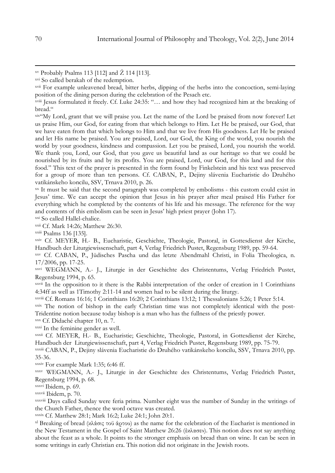xix"My Lord, grant that we will praise you. Let the name of the Lord be praised from now forever! Let us praise Him, our God, for eating from that which belongs to Him. Let He be praised, our God, that we have eaten from that which belongs to Him and that we live from His goodness. Let He be praised and let His name be praised. You are praised, Lord, our God, the King of the world, you nourish the world by your goodness, kindness and compassion. Let you be praised, Lord, you nourish the world. We thank you, Lord, our God, that you gave us beautiful land as our heritage so that we could be nourished by its fruits and by its profits. You are praised, Lord, our God, for this land and for this food." This text of the prayer is presented in the form found by Finkelstein and his text was preserved for a group of more than ten persons. Cf. CABAN, P., Dejiny slávenia Eucharistie do Druhého vatikánskeho koncilu, SSV, Trnava 2010, p. 26.

xx It must be said that the second paragraph was completed by embolisms - this custom could exist in Jesus' time. We can accept the opinion that Jesus in his prayer after meal praised His Father for everything which he completed by the contents of his life and his message. The reference for the way and contents of this embolism can be seen in Jesus' high priest prayer (John 17).

xxi So called Hallel-chalice.

xxii Cf. Mark 14:26; Matthew 26:30.

xxiii Psalms 136 [135].

xxiv Cf. MEYER, H.- B., Eucharistie, Geschichte, Theologie, Pastoral, in Gottesdienst der Kirche, Handbuch der Liturgiewissenschaft, part 4, Verlag Friedrich Pustet, Regensburg 1989, pp. 59-64.

xxv Cf. CABAN, P., Jüdisches Pascha und das letzte Abendmahl Christi, in Folia Theologica, n. 17/2006, pp. 17-25.

xxvi WEGMANN, A.- J., Liturgie in der Geschichte des Christentums, Verlag Friedrich Pustet, Regensburg 1994, p. 65.

xxvii In the opposition to it there is the Rabbi interpretation of the order of creation in 1 Corinthians 4:34ff as well as 1Timothy 2:11-14 and women had to be silent during the liturgy.

xxviii Cf. Romans 16:16; 1 Corinthians 16:20; 2 Corinthians 13:12; 1 Thessalonians 5:26; 1 Peter 5:14.

xxix The notion of bishop in the early Christian time was not completely identical with the post-Tridentine notion because today bishop is a man who has the fullness of the priestly power.

xxx Cf. Didaché chapter 10, n. 7.

xxxi In the feminine gender as well.

xxxii Cf. MEYER, H.- B., Eucharistie; Geschichte, Theologie, Pastoral, in Gottesdienst der Kirche, Handbuch der Liturgiewissenschaft, part 4, Verlag Friedrich Pustet, Regensburg 1989, pp. 75-79.

xxxiii CABAN, P., Dejiny slávenia Eucharistie do Druhého vatikánskeho koncilu, SSV, Trnava 2010, pp. 35-36.

xxxiv For example Mark 1:35; 6:46 ff.

xxxv WEGMANN, A.- J., Liturgie in der Geschichte des Christentums, Verlag Friedrich Pustet, Regensburg 1994, p. 68.

xxxvi Ibidem, p. 69.

xxxvii Ibidem, p. 70.

xxxviii Days called Sunday were feria prima. Number eight was the number of Sunday in the writings of the Church Father, thence the word octave was created.

xxxix Cf. Matthew 28:1; Mark 16:2; Luke 24:1; John 20:1.

xl Breaking of bread (κλάσις τοϋ άρτου) as the name for the celebration of the Eucharist is mentioned in the New Testament in the Gospel of Saint Matthew 26:26 (έκλασεν). This notion does not say anything about the feast as a whole. It points to the stronger emphasis on bread than on wine. It can be seen in some writings in early Christian era. This notion did not originate in the Jewish roots.

 $\overline{a}$ 

xv Probably Psalms 113 [112] and Ž 114 [113].

xvi So called berakah of the redemption.

xvii For example unleavened bread, bitter herbs, dipping of the herbs into the concoction, semi-laying position of the dining person during the celebration of the Pesach etc.

xviii Jesus formulated it freely. Cf. Luke 24:35: "… and how they had recognized him at the breaking of bread."